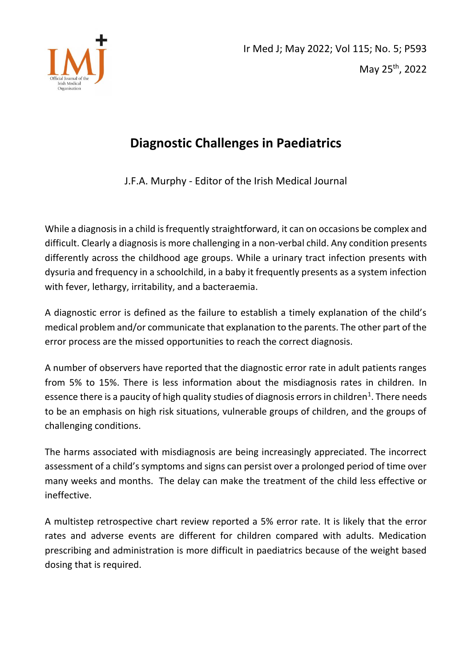

## **Diagnostic Challenges in Paediatrics**

J.F.A. Murphy - Editor of the Irish Medical Journal

While a diagnosis in a child is frequently straightforward, it can on occasions be complex and difficult. Clearly a diagnosis is more challenging in a non-verbal child. Any condition presents differently across the childhood age groups. While a urinary tract infection presents with dysuria and frequency in a schoolchild, in a baby it frequently presents as a system infection with fever, lethargy, irritability, and a bacteraemia.

A diagnostic error is defined as the failure to establish a timely explanation of the child's medical problem and/or communicate that explanation to the parents. The other part of the error process are the missed opportunities to reach the correct diagnosis.

A number of observers have reported that the diagnostic error rate in adult patients ranges from 5% to 15%. There is less information about the misdiagnosis rates in children. In essence there is a paucity of high quality studies of diagnosis errors in children<sup>1</sup>. There needs to be an emphasis on high risk situations, vulnerable groups of children, and the groups of challenging conditions.

The harms associated with misdiagnosis are being increasingly appreciated. The incorrect assessment of a child's symptoms and signs can persist over a prolonged period of time over many weeks and months. The delay can make the treatment of the child less effective or ineffective.

A multistep retrospective chart review reported a 5% error rate. It is likely that the error rates and adverse events are different for children compared with adults. Medication prescribing and administration is more difficult in paediatrics because of the weight based dosing that is required.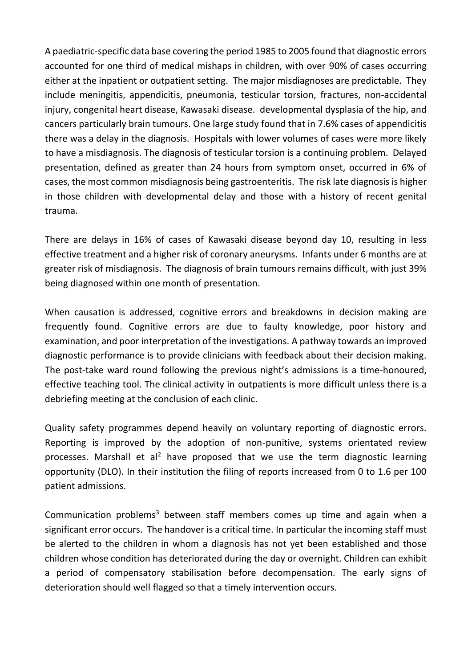A paediatric-specific data base covering the period 1985 to 2005 found that diagnostic errors accounted for one third of medical mishaps in children, with over 90% of cases occurring either at the inpatient or outpatient setting. The major misdiagnoses are predictable. They include meningitis, appendicitis, pneumonia, testicular torsion, fractures, non-accidental injury, congenital heart disease, Kawasaki disease. developmental dysplasia of the hip, and cancers particularly brain tumours. One large study found that in 7.6% cases of appendicitis there was a delay in the diagnosis. Hospitals with lower volumes of cases were more likely to have a misdiagnosis. The diagnosis of testicular torsion is a continuing problem. Delayed presentation, defined as greater than 24 hours from symptom onset, occurred in 6% of cases, the most common misdiagnosis being gastroenteritis. The risk late diagnosis is higher in those children with developmental delay and those with a history of recent genital trauma.

There are delays in 16% of cases of Kawasaki disease beyond day 10, resulting in less effective treatment and a higher risk of coronary aneurysms. Infants under 6 months are at greater risk of misdiagnosis. The diagnosis of brain tumours remains difficult, with just 39% being diagnosed within one month of presentation.

When causation is addressed, cognitive errors and breakdowns in decision making are frequently found. Cognitive errors are due to faulty knowledge, poor history and examination, and poor interpretation of the investigations. A pathway towards an improved diagnostic performance is to provide clinicians with feedback about their decision making. The post-take ward round following the previous night's admissions is a time-honoured, effective teaching tool. The clinical activity in outpatients is more difficult unless there is a debriefing meeting at the conclusion of each clinic.

Quality safety programmes depend heavily on voluntary reporting of diagnostic errors. Reporting is improved by the adoption of non-punitive, systems orientated review processes. Marshall et al<sup>2</sup> have proposed that we use the term diagnostic learning opportunity (DLO). In their institution the filing of reports increased from 0 to 1.6 per 100 patient admissions.

Communication problems<sup>3</sup> between staff members comes up time and again when a significant error occurs. The handover is a critical time. In particular the incoming staff must be alerted to the children in whom a diagnosis has not yet been established and those children whose condition has deteriorated during the day or overnight. Children can exhibit a period of compensatory stabilisation before decompensation. The early signs of deterioration should well flagged so that a timely intervention occurs.